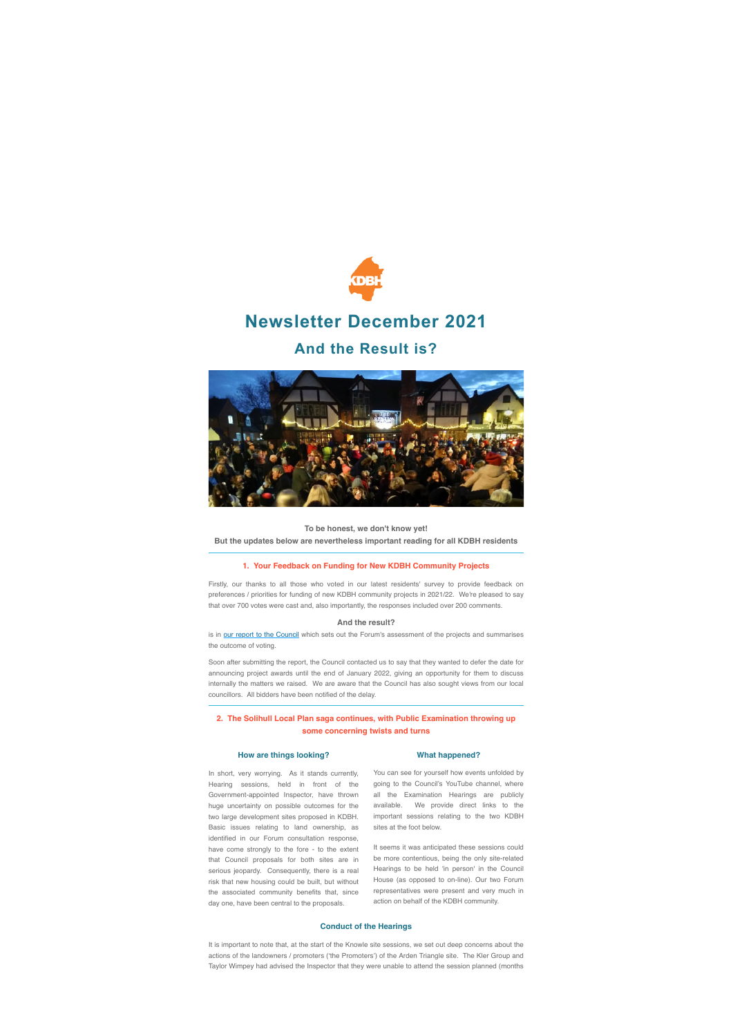

# **Newsletter December 2021**

## **And the Result is?**



**To be honest, we don't know yet!** 

**But the updates below are nevertheless important reading for all KDBH residents**

#### **1. Your Feedback on Funding for New KDBH Community Projects**

Firstly, our thanks to all those who voted in our latest residents' survey to provide feedback on preferences / priorities for funding of new KDBH community projects in 2021/22. We're pleased to say that over 700 votes were cast and, also importantly, the responses included over 200 comments.

#### **And the result?**

is in [our report to the Council](https://shoutout.wix.com/so/b5NrsBE9x/c?w=7_8ZS2t6hSWYzR1cCeOQnzvIWWG1m_kGH8izy_O0YlY.eyJ1IjoiaHR0cHM6Ly8zNzQ1YzBlZC1jZjUyLTRhZWUtYTY0Yi03MDlkNWYxMTkyMzQudXNyZmlsZXMuY29tL3VnZC8zNzQ1YzBfOTFiYTdiNmJiMWVkNGZlZDkwZTY2YTJmOTAwNTExMWIucGRmIiwiciI6IjdhZDVjZjc4LWM2OTktNDFhYS0wYmQzLTBjNzQ4OWVmNDU5NSIsIm0iOiJtYWlsIiwiYyI6IjhmMTM4NjIwLWZmYWItNDdkMy1iZTJjLTUyNjExYTFmMjlhNiJ9) which sets out the Forum's assessment of the projects and summarises the outcome of voting.

Soon after submitting the report, the Council contacted us to say that they wanted to defer the date for announcing project awards until the end of January 2022, giving an opportunity for them to discuss internally the matters we raised. We are aware that the Council has also sought views from our local councillors. All bidders have been notified of the delay.

## **2. The Solihull Local Plan saga continues, with Public Examination throwing up some concerning twists and turns**

## **How are things looking?**

In short, very worrying. As it stands currently, Hearing sessions, held in front of the Government-appointed Inspector, have thrown huge uncertainty on possible outcomes for the two large development sites proposed in KDBH. Basic issues relating to land ownership, as identified in our Forum consultation response, have come strongly to the fore - to the extent that Council proposals for both sites are in serious jeopardy. Consequently, there is a real risk that new housing could be built, but without the associated community benefits that, since day one, have been central to the proposals.

## **What happened?**

You can see for yourself how events unfolded by going to the Council's YouTube channel, where all the Examination Hearings are publicly available. We provide direct links to the important sessions relating to the two KDBH sites at the foot below.

It seems it was anticipated these sessions could be more contentious, being the only site-related Hearings to be held 'in person' in the Council House (as opposed to on-line). Our two Forum representatives were present and very much in action on behalf of the KDBH community.

### **Conduct of the Hearings**

It is important to note that, at the start of the Knowle site sessions, we set out deep concerns about the actions of the landowners / promoters ('the Promoters') of the Arden Triangle site. The Kler Group and Taylor Wimpey had advised the Inspector that they were unable to attend the session planned (months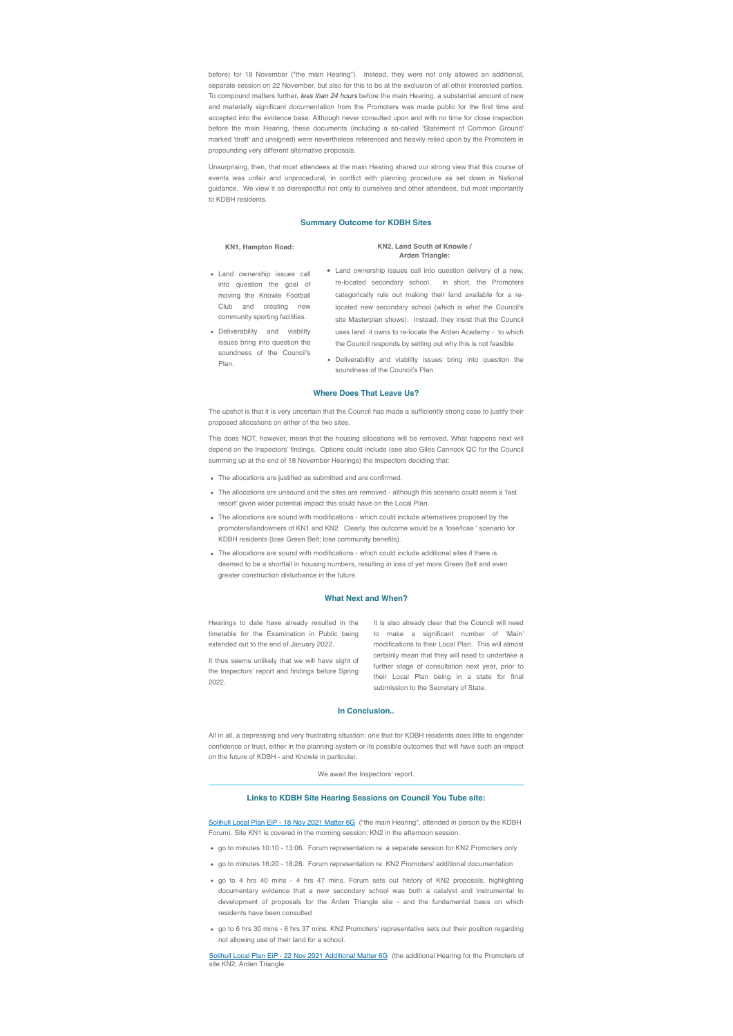before) for 18 November ("the main Hearing"). Instead, they were not only allowed an additional, separate session on 22 November, but also for this to be at the exclusion of all other interested parties. To compound matters further, *less than 24 hours* before the main Hearing, a substantial amount of new and materially significant documentation from the Promoters was made public for the first time and accepted into the evidence base. Although never consulted upon and with no time for close inspection before the main Hearing, these documents (including a so-called 'Statement of Common Ground' marked 'draft' and unsigned) were nevertheless referenced and heavily relied upon by the Promoters in propounding very different alternative proposals.

Unsurprising, then, that most attendees at the main Hearing shared our strong view that this course of events was unfair and unprocedural, in conflict with planning procedure as set down in National guidance. We view it as disrespectful not only to ourselves and other attendees, but most importantly to KDBH residents.

## **Summary Outcome for KDBH Sites**

#### **KN1, Hampton Road:**

#### **KN2, Land South of Knowle / Arden Triangle:**

- Land ownership issues call into question the goal of moving the Knowle Football Club and creating new community sporting facilities.
- Deliverability and viability issues bring into question the soundness of the Council's Plan.
- Land ownership issues call into question delivery of a new, re-located secondary school. In short, the Promoters categorically rule out making their land available for a relocated new secondary school (which is what the Council's site Masterplan shows). Instead, they insist that the Council uses land it owns to re-locate the Arden Academy - to which the Council responds by setting out why this is not feasible.
- Deliverability and viability issues bring into question the soundness of the Council's Plan.

#### **Where Does That Leave Us?**

The upshot is that it is very uncertain that the Council has made a sufficiently strong case to justify their proposed allocations on either of the two sites.

This does NOT, however, mean that the housing allocations will be removed. What happens next will depend on the Inspectors' findings. Options could include (see also Giles Cannock QC for the Council summing up at the end of 18 November Hearings) the Inspectors deciding that:

- The allocations are justified as submitted and are confirmed.
- The allocations are unsound and the sites are removed although this scenario could seem a 'last resort' given wider potential impact this could have on the Local Plan.
- The allocations are sound with modifications which could include alternatives proposed by the promoters/landowners of KN1 and KN2. Clearly, this outcome would be a 'lose/lose ' scenario for KDBH residents (lose Green Belt; lose community benefits).
- The allocations are sound with modifications which could include additional sites if there is deemed to be a shortfall in housing numbers, resulting in loss of yet more Green Belt and even greater construction disturbance in the future.

## **What Next and When?**

Hearings to date have already resulted in the timetable for the Examination in Public being extended out to the end of January 2022.

It thus seems unlikely that we will have sight of the Inspectors' report and findings before Spring 2022.

It is also already clear that the Council will need to make a significant number of 'Main' modifications to their Local Plan. This will almost certainly mean that they will need to undertake a further stage of consultation next year, prior to their Local Plan being in a state for final submission to the Secretary of State.

#### **In Conclusion..**

All in all, a depressing and very frustrating situation; one that for KDBH residents does little to engender confidence or trust, either in the planning system or its possible outcomes that will have such an impact on the future of KDBH - and Knowle in particular.

## We await the Inspectors' report.

### **Links to KDBH Site Hearing Sessions on Council You Tube site:**

[Solihull Local Plan EiP - 18 Nov 2021 Matter 6G](https://shoutout.wix.com/so/b5NrsBE9x/c?w=7qiPnqbo9DjyrhvKFB-VxuCWAS9hyQTvOogSS5leA00.eyJ1IjoiaHR0cHM6Ly93d3cueW91dHViZS5jb20vd2F0Y2g_dj1PX29lWklxRDZGdyZsaXN0PVBMNjJqUGhKdW5wVW45Z1FlaVZ2YnM0M2RBUVpVZ0RzYmomaW5kZXg9MTYiLCJyIjoiNWZmOTMxMWYtMWQ5Yi00OGU1LTNhMTUtMDEzN2Q2NjQxYzIwIiwibSI6Im1haWwiLCJjIjoiOGYxMzg2MjAtZmZhYi00N2QzLWJlMmMtNTI2MTFhMWYyOWE2In0) ("the main Hearing", attended in person by the KDBH Forum). Site KN1 is covered in the morning session; KN2 in the afternoon session.

- go to minutes 10:10 13:06. Forum representation re. a separate session for KN2 Promoters only
- go to minutes 16:20 18:28. Forum representation re. KN2 Promoters' additional documentation
- go to 4 hrs 40 mins 4 hrs 47 mins. Forum sets out history of KN2 proposals, highlighting documentary evidence that a new secondary school was both a catalyst and instrumental to development of proposals for the Arden Triangle site - and the fundamental basis on which residents have been consulted
- go to 6 hrs 30 mins 6 hrs 37 mins. KN2 Promoters' representative sets out their position regarding not allowing use of their land for a school.

[Solihull Local Plan EiP - 22 Nov 2021 Additional Matter 6G](https://shoutout.wix.com/so/b5NrsBE9x/c?w=_0WuplM3Sitx-b1M6EF9fi5jVxznBDeAAYEl6hstWpg.eyJ1IjoiaHR0cHM6Ly93d3cueW91dHViZS5jb20vd2F0Y2g_dj1FUldtQklaYWVUYyZsaXN0PVBMNjJqUGhKdW5wVW45Z1FlaVZ2YnM0M2RBUVpVZ0RzYmomaW5kZXg9MTciLCJyIjoiNWZmOTMxMWYtMWQ5Yi00OGU1LTNhMTUtMDEzN2Q2NjQxYzIwIiwibSI6Im1haWwiLCJjIjoiOGYxMzg2MjAtZmZhYi00N2QzLWJlMmMtNTI2MTFhMWYyOWE2In0) (the additional Hearing for the Promoters of site KN2, Arden Triangle